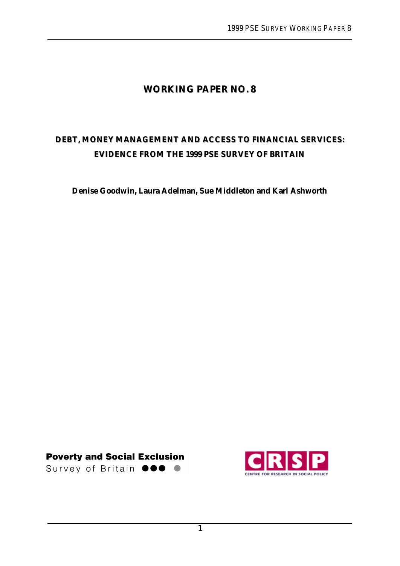# **WORKING PAPER NO. 8**

# **DEBT, MONEY MANAGEMENT AND ACCESS TO FINANCIAL SERVICES: EVIDENCE FROM THE 1999 PSE SURVEY OF BRITAIN**

**Denise Goodwin, Laura Adelman, Sue Middleton and Karl Ashworth**

**Poverty and Social Exclusion** 

Survey of Britain **@@@** 

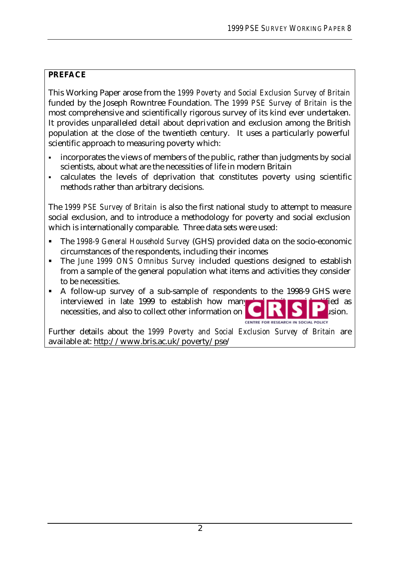### **PREFACE**

This Working Paper arose from the *1999 Poverty and Social Exclusion Survey of Britain* funded by the Joseph Rowntree Foundation. The *1999 PSE Survey of Britain* is the most comprehensive and scientifically rigorous survey of its kind ever undertaken. It provides unparalleled detail about deprivation and exclusion among the British population at the close of the twentieth century. It uses a particularly powerful scientific approach to measuring poverty which:

- incorporates the views of members of the public, rather than judgments by social scientists, about what are the necessities of life in modern Britain
- ß calculates the levels of deprivation that constitutes poverty using scientific methods rather than arbitrary decisions.

The *1999 PSE Survey of Britain* is also the first national study to attempt to measure social exclusion, and to introduce a methodology for poverty and social exclusion which is internationally comparable. Three data sets were used:

- ß The *1998-9 General Household Survey* (GHS) provided data on the socio-economic circumstances of the respondents, including their incomes
- ß The *June 1999 ONS Omnibus Survey* included questions designed to establish from a sample of the general population what items and activities they consider to be necessities.
- A follow-up survey of a sub-sample of respondents to the 1998-9 GHS were interviewed in late 1999 to establish how many **interviewed** is identified as necessities, and also to collect other information on **postular and social exclusion.** CENTRE FOR RESEARCH IN SOCIAL POLICY

Further details about the *1999 Poverty and Social Exclusion Survey of Britain* are available at: http://www.bris.ac.uk/poverty/pse/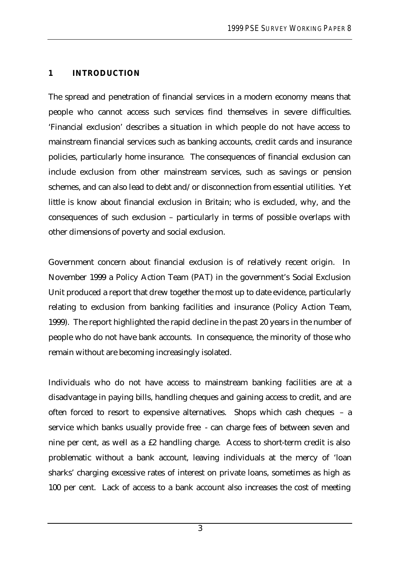### **1 INTRODUCTION**

The spread and penetration of financial services in a modern economy means that people who cannot access such services find themselves in severe difficulties. 'Financial exclusion' describes a situation in which people do not have access to mainstream financial services such as banking accounts, credit cards and insurance policies, particularly home insurance. The consequences of financial exclusion can include exclusion from other mainstream services, such as savings or pension schemes, and can also lead to debt and/or disconnection from essential utilities. Yet little is know about financial exclusion in Britain; who is excluded, why, and the consequences of such exclusion – particularly in terms of possible overlaps with other dimensions of poverty and social exclusion.

Government concern about financial exclusion is of relatively recent origin. In November 1999 a Policy Action Team (PAT) in the government's Social Exclusion Unit produced a report that drew together the most up to date evidence, particularly relating to exclusion from banking facilities and insurance (Policy Action Team, 1999). The report highlighted the rapid decline in the past 20 years in the number of people who do not have bank accounts. In consequence, the minority of those who remain without are becoming increasingly isolated.

Individuals who do not have access to mainstream banking facilities are at a disadvantage in paying bills, handling cheques and gaining access to credit, and are often forced to resort to expensive alternatives. Shops which cash cheques – a service which banks usually provide free - can charge fees of between seven and nine per cent, as well as a £2 handling charge. Access to short-term credit is also problematic without a bank account, leaving individuals at the mercy of 'loan sharks' charging excessive rates of interest on private loans, sometimes as high as 100 per cent. Lack of access to a bank account also increases the cost of meeting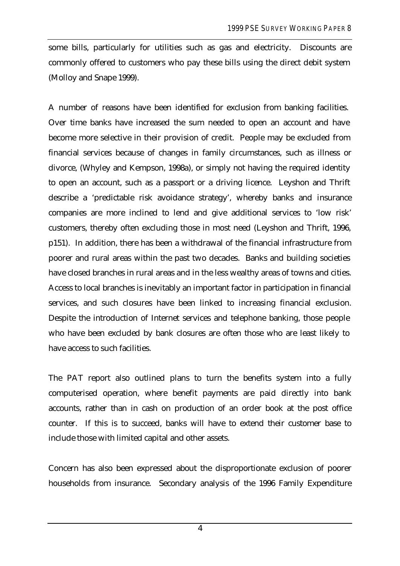some bills, particularly for utilities such as gas and electricity. Discounts are commonly offered to customers who pay these bills using the direct debit system (Molloy and Snape 1999).

A number of reasons have been identified for exclusion from banking facilities. Over time banks have increased the sum needed to open an account and have become more selective in their provision of credit. People may be excluded from financial services because of changes in family circumstances, such as illness or divorce, (Whyley and Kempson, 1998a), or simply not having the required identity to open an account, such as a passport or a driving licence. Leyshon and Thrift describe a 'predictable risk avoidance strategy', whereby banks and insurance companies are more inclined to lend and give additional services to 'low risk' customers, thereby often excluding those in most need (Leyshon and Thrift, 1996, p151). In addition, there has been a withdrawal of the financial infrastructure from poorer and rural areas within the past two decades. Banks and building societies have closed branches in rural areas and in the less wealthy areas of towns and cities. Access to local branches is inevitably an important factor in participation in financial services, and such closures have been linked to increasing financial exclusion. Despite the introduction of Internet services and telephone banking, those people who have been excluded by bank closures are often those who are least likely to have access to such facilities.

The PAT report also outlined plans to turn the benefits system into a fully computerised operation, where benefit payments are paid directly into bank accounts, rather than in cash on production of an order book at the post office counter. If this is to succeed, banks will have to extend their customer base to include those with limited capital and other assets.

Concern has also been expressed about the disproportionate exclusion of poorer households from insurance. Secondary analysis of the 1996 Family Expenditure

4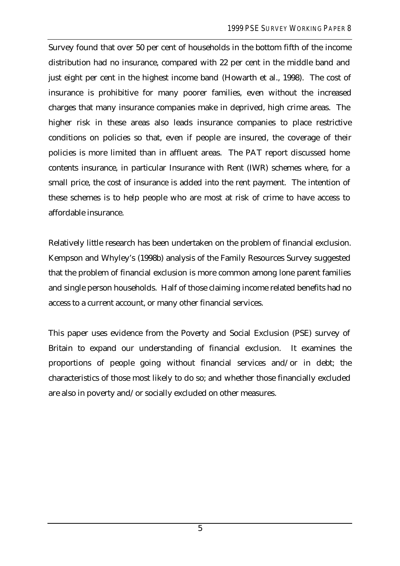Survey found that over 50 per cent of households in the bottom fifth of the income distribution had no insurance, compared with 22 per cent in the middle band and just eight per cent in the highest income band (Howarth et al., 1998). The cost of insurance is prohibitive for many poorer families, even without the increased charges that many insurance companies make in deprived, high crime areas. The higher risk in these areas also leads insurance companies to place restrictive conditions on policies so that, even if people are insured, the coverage of their policies is more limited than in affluent areas. The PAT report discussed home contents insurance, in particular Insurance with Rent (IWR) schemes where, for a small price, the cost of insurance is added into the rent payment. The intention of these schemes is to help people who are most at risk of crime to have access to affordable insurance.

Relatively little research has been undertaken on the problem of financial exclusion. Kempson and Whyley's (1998b) analysis of the Family Resources Survey suggested that the problem of financial exclusion is more common among lone parent families and single person households. Half of those claiming income related benefits had no access to a current account, or many other financial services.

This paper uses evidence from the Poverty and Social Exclusion (PSE) survey of Britain to expand our understanding of financial exclusion. It examines the proportions of people going without financial services and/or in debt; the characteristics of those most likely to do so; and whether those financially excluded are also in poverty and/or socially excluded on other measures.

5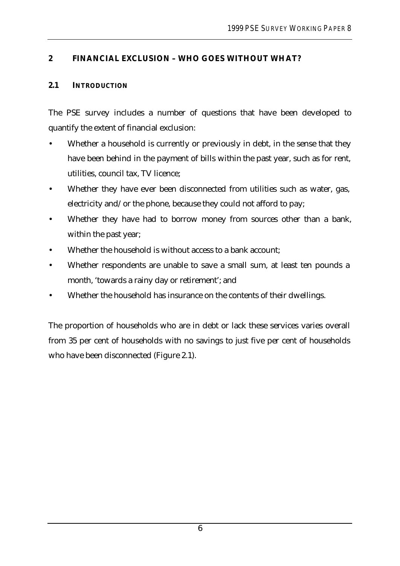## **2 FINANCIAL EXCLUSION – WHO GOES WITHOUT WHAT?**

### **2.1 INTRODUCTION**

The PSE survey includes a number of questions that have been developed to quantify the extent of financial exclusion:

- Whether a household is currently or previously in debt, in the sense that they have been behind in the payment of bills within the past year, such as for rent, utilities, council tax, TV licence;
- Whether they have ever been disconnected from utilities such as water, gas, electricity and/or the phone, because they could not afford to pay;
- Whether they have had to borrow money from sources other than a bank, within the past year;
- Whether the household is without access to a bank account;
- Whether respondents are unable to save a small sum, at least ten pounds a month, 'towards a rainy day or retirement'; and
- Whether the household has insurance on the contents of their dwellings.

The proportion of households who are in debt or lack these services varies overall from 35 per cent of households with no savings to just five per cent of households who have been disconnected (Figure 2.1).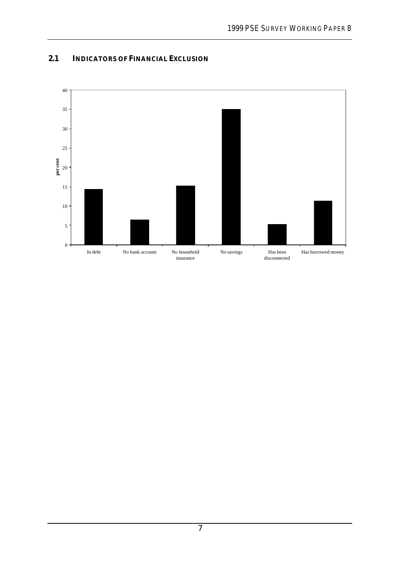

### **2.1 INDICATORS OF FINANCIAL EXCLUSION**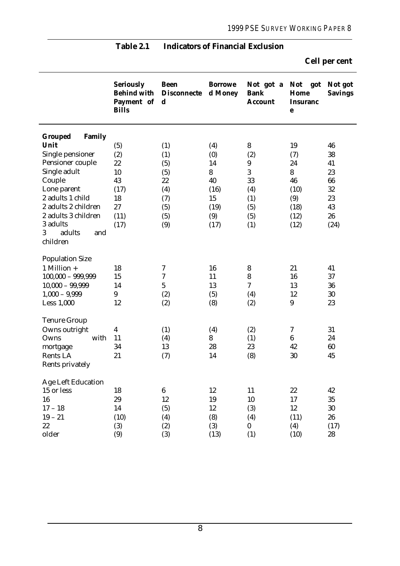|                                 | <b>Seriously</b><br><b>Behind with</b><br>Payment of<br><b>Bills</b> | <b>Been</b><br><b>Disconnecte</b><br>$\mathbf d$ | <b>Borrowe</b><br>d Money | Not got a Not got<br><b>Bank</b><br><b>Account</b> | Home<br><b>Insuranc</b><br>$\mathbf e$ | Not got<br><b>Savings</b> |
|---------------------------------|----------------------------------------------------------------------|--------------------------------------------------|---------------------------|----------------------------------------------------|----------------------------------------|---------------------------|
| <b>Family</b><br><b>Grouped</b> |                                                                      |                                                  |                           |                                                    |                                        |                           |
| Unit                            | (5)                                                                  | (1)                                              | (4)                       | 8                                                  | 19                                     | 46                        |
| Single pensioner                | (2)                                                                  | (1)                                              | (0)                       | (2)                                                | (7)                                    | 38                        |
| Pensioner couple                | 22                                                                   | (5)                                              | 14                        | $\boldsymbol{9}$                                   | 24                                     | 41                        |
| Single adult                    | 10                                                                   | (5)                                              | 8                         | 3                                                  | 8                                      | 23                        |
| Couple                          | 43                                                                   | 22                                               | 40                        | 33                                                 | 46                                     | 66                        |
| Lone parent                     | (17)                                                                 | (4)                                              | (16)                      | (4)                                                | (10)                                   | 32                        |
| 2 adults 1 child                | 18                                                                   | (7)                                              | 15                        | (1)                                                | (9)                                    | 23                        |
| 2 adults 2 children             | 27                                                                   | (5)                                              | (19)                      | (5)                                                | (18)                                   | 43                        |
| 2 adults 3 children             | (11)                                                                 | (5)                                              | (9)                       | (5)                                                | (12)                                   | 26                        |
| 3 adults                        | (17)                                                                 | (9)                                              | (17)                      | (1)                                                | (12)                                   | (24)                      |
| adults<br>3<br>and<br>children  |                                                                      |                                                  |                           |                                                    |                                        |                           |
| <b>Population Size</b>          |                                                                      |                                                  |                           |                                                    |                                        |                           |
| 1 Million $+$                   | 18                                                                   | 7                                                | 16                        | $\bf 8$                                            | 21                                     | 41                        |
| $100,000 - 999,999$             | 15                                                                   | $\boldsymbol{7}$                                 | 11                        | $\bf 8$                                            | 16                                     | 37                        |
| $10,000 - 99,999$               | 14                                                                   | $\mathbf{5}$                                     | 13                        | $\overline{\mathcal{U}}$                           | 13                                     | 36                        |
| $1,000 - 9,999$                 | $9\phantom{.0}$                                                      | (2)                                              | (5)                       | (4)                                                | 12                                     | 30                        |
| Less 1,000                      | 12                                                                   | (2)                                              | (8)                       | (2)                                                | 9                                      | 23                        |
| <b>Tenure Group</b>             |                                                                      |                                                  |                           |                                                    |                                        |                           |
| Owns outright                   | $\overline{\mathbf{4}}$                                              | (1)                                              | (4)                       | (2)                                                | 7                                      | 31                        |
| with<br>Owns                    | 11                                                                   | (4)                                              | 8                         | (1)                                                | $6\phantom{.}6$                        | 24                        |
| mortgage                        | 34                                                                   | 13                                               | 28                        | 23                                                 | 42                                     | 60                        |
| Rents LA<br>Rents privately     | 21                                                                   | (7)                                              | 14                        | (8)                                                | 30                                     | 45                        |
| <b>Age Left Education</b>       |                                                                      |                                                  |                           |                                                    |                                        |                           |
| 15 or less                      | 18                                                                   | $\boldsymbol{6}$                                 | 12                        | 11                                                 | 22                                     | 42                        |
| 16                              | 29                                                                   | 12                                               | 19                        | 10                                                 | 17                                     | 35                        |
| $17 - 18$                       | 14                                                                   | (5)                                              | 12                        | (3)                                                | 12                                     | 30                        |
| $19 - 21$                       | (10)                                                                 | (4)                                              | (8)                       | (4)                                                | (11)                                   | 26                        |
| $22\,$                          | (3)                                                                  | (2)                                              | (3)                       | $\bf{0}$                                           | (4)                                    | (17)                      |
| older                           | (9)                                                                  | (3)                                              | (13)                      | (1)                                                | (10)                                   | 28                        |

# **Table 2.1 Indicators of Financial Exclusion**

**Cell per cent**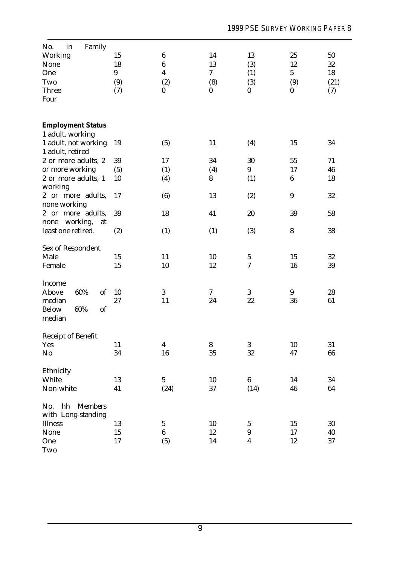| No.<br>Family<br>$\operatorname{in}$ |     |                  |                  |                  |                  |      |
|--------------------------------------|-----|------------------|------------------|------------------|------------------|------|
| Working                              | 15  | $\boldsymbol{6}$ | 14               | 13               | 25               | 50   |
| None                                 | 18  | $\bf 6$          | 13               | (3)              | 12               | 32   |
| One                                  | 9   | $\boldsymbol{4}$ | 7                | (1)              | $5\phantom{.0}$  | 18   |
| Two                                  | (9) | (2)              | (8)              | (3)              | (9)              | (21) |
| Three                                | (7) | $\pmb{0}$        | $\boldsymbol{0}$ | $\boldsymbol{0}$ | $\boldsymbol{0}$ | (7)  |
| Four                                 |     |                  |                  |                  |                  |      |
|                                      |     |                  |                  |                  |                  |      |
|                                      |     |                  |                  |                  |                  |      |
| <b>Employment Status</b>             |     |                  |                  |                  |                  |      |
| 1 adult, working                     |     |                  |                  |                  |                  |      |
| 1 adult, not working                 | 19  | (5)              | 11               | (4)              | 15               | 34   |
| 1 adult, retired                     |     |                  |                  |                  |                  |      |
| 2 or more adults, 2                  | 39  | 17               | 34               | 30               | 55               | 71   |
| or more working                      | (5) | (1)              | (4)              | 9                | 17               | 46   |
| 2 or more adults, 1                  | 10  | (4)              | 8                | (1)              | $\bf 6$          | 18   |
| working                              |     |                  |                  |                  |                  |      |
| 2 or more adults,                    | 17  | (6)              | 13               | (2)              | $\boldsymbol{9}$ | 32   |
| none working                         |     |                  |                  |                  |                  |      |
| 2 or more adults,                    | 39  | 18               | 41               | 20               | 39               | 58   |
| working,<br>none<br>at               |     |                  |                  |                  |                  |      |
| least one retired.                   | (2) | (1)              | (1)              | (3)              | 8                | 38   |
|                                      |     |                  |                  |                  |                  |      |
| Sex of Respondent                    |     |                  |                  |                  |                  |      |
| Male                                 | 15  | 11               | 10               | $\mathbf{5}$     | 15               | 32   |
| Female                               | 15  | 10               | 12               | $\rm 7$          | 16               | 39   |
|                                      |     |                  |                  |                  |                  |      |
| Income                               |     |                  |                  |                  |                  |      |
| 60%<br>of<br>Above                   | 10  | 3                | 7                | 3                | 9                | 28   |
| median                               | 27  | 11               | 24               | 22               | 36               | 61   |
| <b>Below</b><br>60%<br>of            |     |                  |                  |                  |                  |      |
| median                               |     |                  |                  |                  |                  |      |
|                                      |     |                  |                  |                  |                  |      |
| Receipt of Benefit                   |     |                  |                  |                  |                  |      |
| Yes                                  | 11  | 4                | 8                | 3                | 10               | 31   |
| No                                   | 34  | 16               | 35               | 32               | 47               | 66   |
|                                      |     |                  |                  |                  |                  |      |
| Ethnicity                            |     |                  |                  |                  |                  |      |
| White                                |     | $5\phantom{.0}$  |                  | $\boldsymbol{6}$ | 14               |      |
|                                      | 13  |                  | 10               |                  |                  | 34   |
| Non-white                            | 41  | (24)             | 37               | (14)             | 46               | 64   |
| hh<br><b>Members</b><br>No.          |     |                  |                  |                  |                  |      |
| with Long-standing                   |     |                  |                  |                  |                  |      |
|                                      |     |                  |                  |                  |                  |      |
| Illness                              | 13  | $\bf 5$          | 10               | $\mathbf 5$      | 15               | 30   |
| None                                 | 15  | $\boldsymbol{6}$ | 12               | $\boldsymbol{9}$ | 17               | 40   |
| One                                  | 17  | (5)              | 14               | $\boldsymbol{4}$ | 12               | 37   |
| Two                                  |     |                  |                  |                  |                  |      |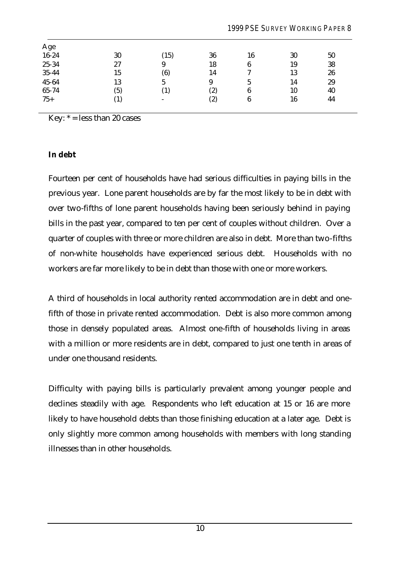| Age   |            |                          |     |    |    |    |  |
|-------|------------|--------------------------|-----|----|----|----|--|
| 16-24 | 30         | (15)                     | 36  | 16 | 30 | 50 |  |
| 25-34 | 27         | 9                        | 18  | 6  | 19 | 38 |  |
| 35-44 | 15         | (6)                      | 14  | 7  | 13 | 26 |  |
| 45-64 | 13         | $5\overline{)}$          | 9   | 5  | 14 | 29 |  |
| 65-74 | (5)        | $\left( 1\right)$        | (2) | 6  | 10 | 40 |  |
| $75+$ | $\bf{(1)}$ | $\overline{\phantom{a}}$ | (2) | 6  | 16 | 44 |  |
|       |            |                          |     |    |    |    |  |

Key:  $* =$  less than 20 cases

#### **In debt**

Fourteen per cent of households have had serious difficulties in paying bills in the previous year. Lone parent households are by far the most likely to be in debt with over two-fifths of lone parent households having been seriously behind in paying bills in the past year, compared to ten per cent of couples without children. Over a quarter of couples with three or more children are also in debt. More than two-fifths of non-white households have experienced serious debt. Households with no workers are far more likely to be in debt than those with one or more workers.

A third of households in local authority rented accommodation are in debt and onefifth of those in private rented accommodation. Debt is also more common among those in densely populated areas. Almost one-fifth of households living in areas with a million or more residents are in debt, compared to just one tenth in areas of under one thousand residents.

Difficulty with paying bills is particularly prevalent among younger people and declines steadily with age. Respondents who left education at 15 or 16 are more likely to have household debts than those finishing education at a later age. Debt is only slightly more common among households with members with long standing illnesses than in other households.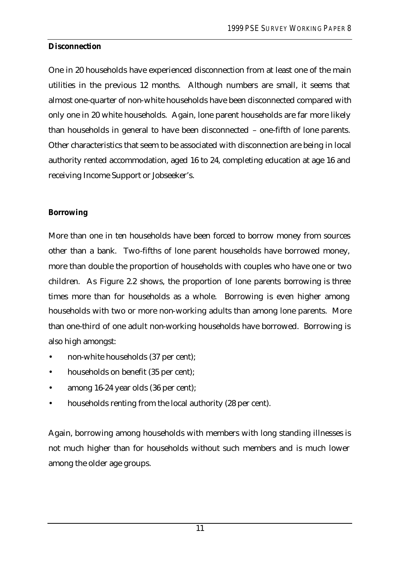### **Disconnection**

One in 20 households have experienced disconnection from at least one of the main utilities in the previous 12 months. Although numbers are small, it seems that almost one-quarter of non-white households have been disconnected compared with only one in 20 white households. Again, lone parent households are far more likely than households in general to have been disconnected – one-fifth of lone parents. Other characteristics that seem to be associated with disconnection are being in local authority rented accommodation, aged 16 to 24, completing education at age 16 and receiving Income Support or Jobseeker's.

### **Borrowing**

More than one in ten households have been forced to borrow money from sources other than a bank. Two-fifths of lone parent households have borrowed money, more than double the proportion of households with couples who have one or two children. As Figure 2.2 shows, the proportion of lone parents borrowing is three times more than for households as a whole. Borrowing is even higher among households with two or more non-working adults than among lone parents. More than one-third of one adult non-working households have borrowed. Borrowing is also high amongst:

- non-white households (37 per cent);
- households on benefit (35 per cent);
- among 16-24 year olds (36 per cent);
- households renting from the local authority (28 per cent).

Again, borrowing among households with members with long standing illnesses is not much higher than for households without such members and is much lower among the older age groups.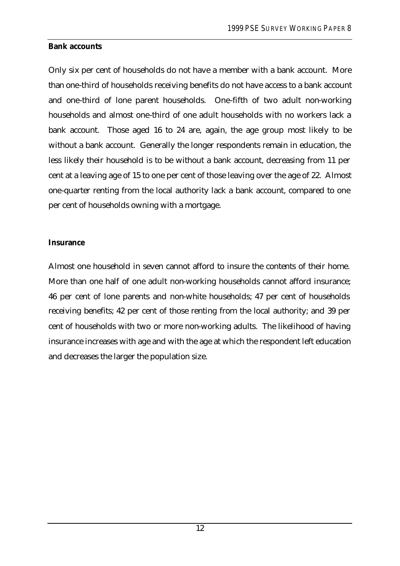#### **Bank accounts**

Only six per cent of households do not have a member with a bank account. More than one-third of households receiving benefits do not have access to a bank account and one-third of lone parent households. One-fifth of two adult non-working households and almost one-third of one adult households with no workers lack a bank account. Those aged 16 to 24 are, again, the age group most likely to be without a bank account. Generally the longer respondents remain in education, the less likely their household is to be without a bank account, decreasing from 11 per cent at a leaving age of 15 to one per cent of those leaving over the age of 22. Almost one-quarter renting from the local authority lack a bank account, compared to one per cent of households owning with a mortgage.

#### **Insurance**

Almost one household in seven cannot afford to insure the contents of their home. More than one half of one adult non-working households cannot afford insurance; 46 per cent of lone parents and non-white households; 47 per cent of households receiving benefits; 42 per cent of those renting from the local authority; and 39 per cent of households with two or more non-working adults. The likelihood of having insurance increases with age and with the age at which the respondent left education and decreases the larger the population size.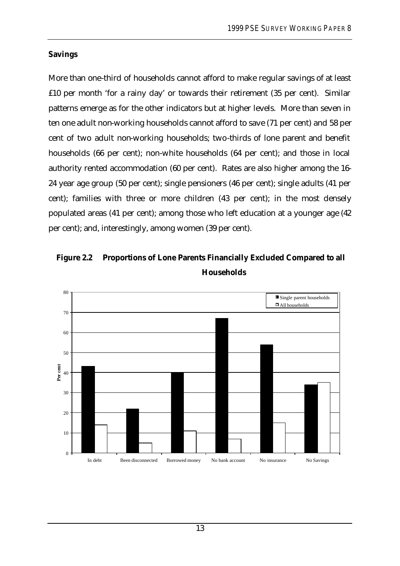### **Savings**

More than one-third of households cannot afford to make regular savings of at least £10 per month 'for a rainy day' or towards their retirement (35 per cent). Similar patterns emerge as for the other indicators but at higher levels. More than seven in ten one adult non-working households cannot afford to save (71 per cent) and 58 per cent of two adult non-working households; two-thirds of lone parent and benefit households (66 per cent); non-white households (64 per cent); and those in local authority rented accommodation (60 per cent). Rates are also higher among the 16- 24 year age group (50 per cent); single pensioners (46 per cent); single adults (41 per cent); families with three or more children (43 per cent); in the most densely populated areas (41 per cent); among those who left education at a younger age (42 per cent); and, interestingly, among women (39 per cent).

# **Figure 2.2 Proportions of Lone Parents Financially Excluded Compared to all Households**

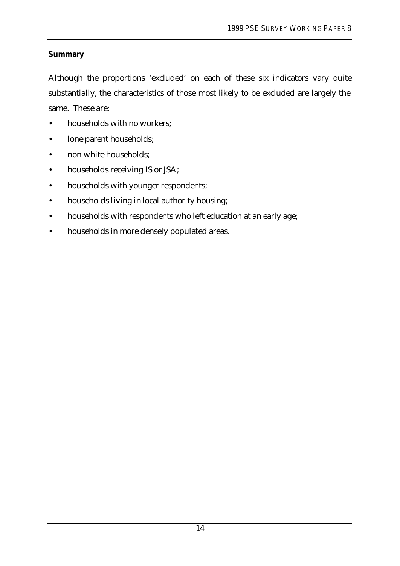## **Summary**

Although the proportions 'excluded' on each of these six indicators vary quite substantially, the characteristics of those most likely to be excluded are largely the same. These are:

- households with no workers;
- lone parent households;
- non-white households;
- households receiving IS or JSA;
- households with younger respondents;
- households living in local authority housing;
- households with respondents who left education at an early age;
- households in more densely populated areas.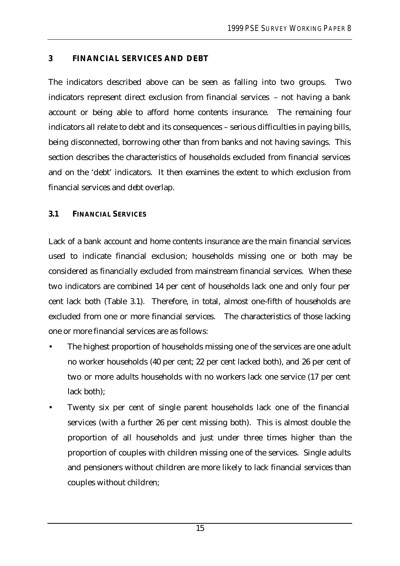### **3 FINANCIAL SERVICES AND DEBT**

The indicators described above can be seen as falling into two groups. Two indicators represent direct exclusion from financial services – not having a bank account or being able to afford home contents insurance. The remaining four indicators all relate to debt and its consequences – serious difficulties in paying bills, being disconnected, borrowing other than from banks and not having savings. This section describes the characteristics of households excluded from financial services and on the 'debt' indicators. It then examines the extent to which exclusion from financial services and debt overlap.

### **3.1 FINANCIAL SERVICES**

Lack of a bank account and home contents insurance are the main financial services used to indicate financial exclusion; households missing one or both may be considered as financially excluded from mainstream financial services. When these two indicators are combined 14 per cent of households lack one and only four per cent lack both (Table 3.1). Therefore, in total, almost one-fifth of households are excluded from one or more financial services. The characteristics of those lacking one or more financial services are as follows:

- The highest proportion of households missing one of the services are one adult no worker households (40 per cent; 22 per cent lacked both), and 26 per cent of two or more adults households with no workers lack one service (17 per cent lack both);
- Twenty six per cent of single parent households lack one of the financial services (with a further 26 per cent missing both). This is almost double the proportion of all households and just under three times higher than the proportion of couples with children missing one of the services. Single adults and pensioners without children are more likely to lack financial services than couples without children;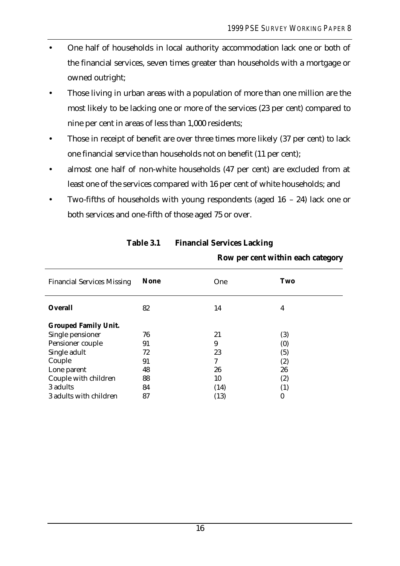- One half of households in local authority accommodation lack one or both of the financial services, seven times greater than households with a mortgage or owned outright;
- Those living in urban areas with a population of more than one million are the most likely to be lacking one or more of the services (23 per cent) compared to nine per cent in areas of less than 1,000 residents;
- Those in receipt of benefit are over three times more likely (37 per cent) to lack one financial service than households not on benefit (11 per cent);
- almost one half of non-white households (47 per cent) are excluded from at least one of the services compared with 16 per cent of white households; and
- Two-fifths of households with young respondents (aged  $16 24$ ) lack one or both services and one-fifth of those aged 75 or over.

| <b>Financial Services Missing</b> | <b>None</b> | <b>One</b> | Two               |
|-----------------------------------|-------------|------------|-------------------|
| <b>Overall</b>                    | 82          | 14         | 4                 |
| <b>Grouped Family Unit.</b>       |             |            |                   |
| Single pensioner                  | 76          | 21         | (3)               |
| Pensioner couple                  | 91          | 9          | (0)               |
| Single adult                      | 72          | 23         | (5)               |
| Couple                            | 91          | 7          | (2)               |
| Lone parent                       | 48          | 26         | 26                |
| Couple with children              | 88          | 10         | (2)               |
| 3 adults                          | 84          | (14)       | $\left( 1\right)$ |
| 3 adults with children            | 87          | (13)       | 0                 |

# **Table 3.1 Financial Services Lacking**

**Row per cent within each category**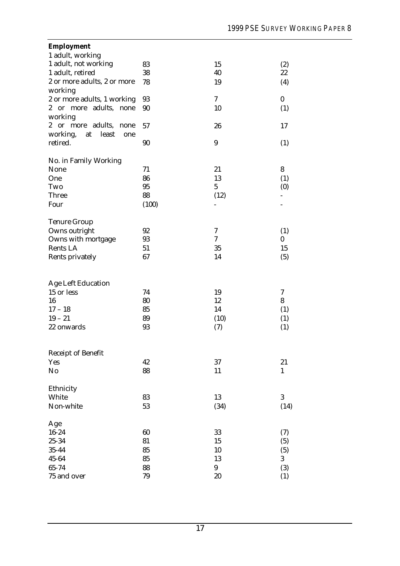| <b>Employment</b>                          |       |                          |                  |
|--------------------------------------------|-------|--------------------------|------------------|
| 1 adult, working                           |       |                          |                  |
| 1 adult, not working                       | 83    | 15                       | (2)              |
| 1 adult, retired                           | 38    | 40                       | 22               |
| 2 or more adults, 2 or more                | 78    | 19                       | (4)              |
| working                                    |       |                          |                  |
| 2 or more adults, 1 working                | 93    | $\overline{\mathcal{U}}$ | $\boldsymbol{0}$ |
| adults,<br>$2^{\circ}$<br>or more<br>none  | 90    | 10                       | (1)              |
| working                                    |       |                          |                  |
| adults,<br>$\mathbf{2}$<br>or more<br>none | 57    | 26                       | 17               |
| working,<br>least<br>at<br>one             |       |                          |                  |
| retired.                                   | 90    | 9                        | (1)              |
|                                            |       |                          |                  |
| No. in Family Working                      |       |                          |                  |
| None                                       | 71    | 21                       | 8                |
| One                                        | 86    | 13                       | (1)              |
| Two                                        | 95    | $\mathbf{5}$             | (0)              |
| Three                                      | 88    | (12)                     |                  |
| Four                                       | (100) | -                        |                  |
|                                            |       |                          |                  |
| <b>Tenure Group</b>                        |       |                          |                  |
| Owns outright                              | 92    | 7                        | (1)              |
| Owns with mortgage                         | 93    | 7                        | 0                |
| Rents LA                                   | 51    | 35                       | 15               |
| Rents privately                            | 67    | 14                       | (5)              |
|                                            |       |                          |                  |
|                                            |       |                          |                  |
| <b>Age Left Education</b>                  |       |                          |                  |
| 15 or less                                 | 74    | 19                       | 7                |
| 16                                         | 80    | 12                       | 8                |
| $17 - 18$                                  | 85    | 14                       | (1)              |
| $19 - 21$                                  | 89    | (10)                     | (1)              |
| 22 onwards                                 | 93    | (7)                      | (1)              |
|                                            |       |                          |                  |
|                                            |       |                          |                  |
| Receipt of Benefit                         |       |                          |                  |
| Yes                                        | 42    | 37                       | 21               |
| No                                         | 88    | 11                       | $\mathbf{1}$     |
|                                            |       |                          |                  |
| Ethnicity                                  |       |                          |                  |
| White                                      | 83    | 13                       | 3                |
| Non-white                                  | 53    | (34)                     | (14)             |
|                                            |       |                          |                  |
| Age                                        |       |                          |                  |
| $16 - 24$                                  | 60    | 33                       | (7)              |
| 25-34                                      | 81    | 15                       | (5)              |
| $35 - 44$                                  | 85    | 10                       | (5)              |
| $45 - 64$                                  | 85    | 13                       | 3                |
| 65-74                                      | 88    | 9                        | (3)              |
| 75 and over                                | 79    | 20                       | (1)              |
|                                            |       |                          |                  |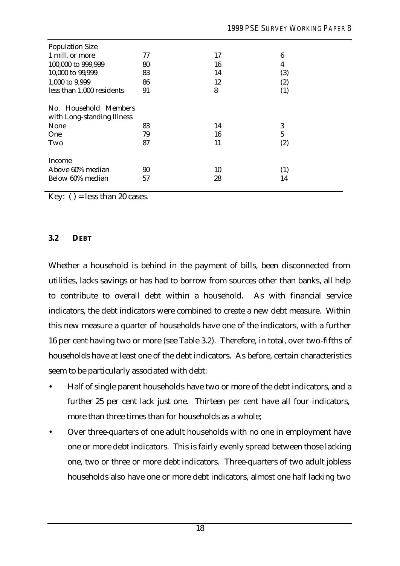| <b>Population Size</b>                              |    |    |                  |
|-----------------------------------------------------|----|----|------------------|
| 1 mill, or more                                     | 77 | 17 | $\boldsymbol{6}$ |
| 100,000 to 999,999                                  | 80 | 16 | 4                |
| 10,000 to 99,999                                    | 83 | 14 | (3)              |
| 1,000 to 9,999                                      | 86 | 12 | (2)              |
| less than 1,000 residents                           | 91 | 8  | (1)              |
| No. Household Members<br>with Long-standing Illness |    |    |                  |
| None                                                | 83 | 14 | 3                |
| One                                                 | 79 | 16 | $\overline{5}$   |
| Two                                                 | 87 | 11 | (2)              |
| Income                                              |    |    |                  |
| Above 60% median                                    | 90 | 10 | (1)              |
| Below 60% median                                    | 57 | 28 | 14               |

Key: ( ) = less than 20 cases.

#### **3.2 DEBT**

Whether a household is behind in the payment of bills, been disconnected from utilities, lacks savings or has had to borrow from sources other than banks, all help to contribute to overall debt within a household. As with financial service indicators, the debt indicators were combined to create a new debt measure. Within this new measure a quarter of households have one of the indicators, with a further 16 per cent having two or more (see Table 3.2). Therefore, in total, over two-fifths of households have at least one of the debt indicators. As before, certain characteristics seem to be particularly associated with debt:

- Half of single parent households have two or more of the debt indicators, and a further 25 per cent lack just one. Thirteen per cent have all four indicators, more than three times than for households as a whole;
- Over three-quarters of one adult households with no one in employment have one or more debt indicators. This is fairly evenly spread between those lacking one, two or three or more debt indicators. Three-quarters of two adult jobless households also have one or more debt indicators, almost one half lacking two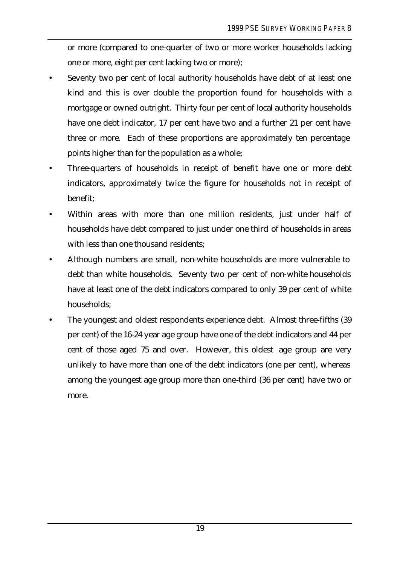or more (compared to one-quarter of two or more worker households lacking one or more, eight per cent lacking two or more);

- Seventy two per cent of local authority households have debt of at least one kind and this is over double the proportion found for households with a mortgage or owned outright. Thirty four per cent of local authority households have one debt indicator, 17 per cent have two and a further 21 per cent have three or more. Each of these proportions are approximately ten percentage points higher than for the population as a whole;
- Three-quarters of households in receipt of benefit have one or more debt indicators, approximately twice the figure for households not in receipt of benefit;
- Within areas with more than one million residents, just under half of households have debt compared to just under one third of households in areas with less than one thousand residents;
- Although numbers are small, non-white households are more vulnerable to debt than white households. Seventy two per cent of non-white households have at least one of the debt indicators compared to only 39 per cent of white households;
- The youngest and oldest respondents experience debt. Almost three-fifths (39) per cent) of the 16-24 year age group have one of the debt indicators and 44 per cent of those aged 75 and over. However, this oldest age group are very unlikely to have more than one of the debt indicators (one per cent), whereas among the youngest age group more than one-third (36 per cent) have two or more.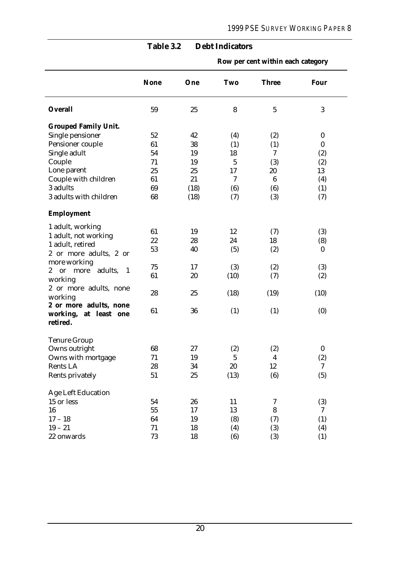|                                                                    | <b>None</b> | One  | Two            | <b>Three</b>     | <b>Four</b>      |
|--------------------------------------------------------------------|-------------|------|----------------|------------------|------------------|
| <b>Overall</b>                                                     | 59          | 25   | 8              | $\overline{5}$   | $\boldsymbol{3}$ |
| <b>Grouped Family Unit.</b>                                        |             |      |                |                  |                  |
| Single pensioner                                                   | 52          | 42   | (4)            | (2)              | $\boldsymbol{0}$ |
| Pensioner couple                                                   | 61          | 38   | (1)            | (1)              | $\bf{0}$         |
| Single adult                                                       | 54          | 19   | 18             | 7                | (2)              |
| Couple                                                             | 71          | 19   | $\overline{5}$ | (3)              | (2)              |
| Lone parent                                                        | 25          | 25   | 17             | 20               | 13               |
| Couple with children                                               | 61          | 21   | 7              | $6\phantom{1}6$  | (4)              |
| 3 adults                                                           | 69          | (18) | (6)            | (6)              | (1)              |
| 3 adults with children                                             | 68          | (18) | (7)            | (3)              | (7)              |
| <b>Employment</b>                                                  |             |      |                |                  |                  |
| 1 adult, working                                                   |             |      |                |                  |                  |
| 1 adult, not working                                               | 61          | 19   | 12             | (7)              | (3)              |
| 1 adult, retired                                                   | 22<br>53    | 28   | 24             | 18               | (8)              |
| 2 or more adults, 2 or                                             |             | 40   | (5)            | (2)              | $\boldsymbol{0}$ |
| more working                                                       | 75          | 17   |                |                  |                  |
| adults,<br>$\boldsymbol{2}$<br>more<br>$\overline{1}$<br><b>or</b> | 61          | 20   | (3)<br>(10)    | (2)<br>(7)       | (3)<br>(2)       |
| working                                                            |             |      |                |                  |                  |
| 2 or more adults, none                                             | 28          | 25   | (18)           | (19)             | (10)             |
| working                                                            |             |      |                |                  |                  |
| 2 or more adults, none                                             | 61          | 36   | (1)            | (1)              | (0)              |
| working, at least one                                              |             |      |                |                  |                  |
| retired.                                                           |             |      |                |                  |                  |
| <b>Tenure Group</b>                                                |             |      |                |                  |                  |
| Owns outright                                                      | 68          | 27   | (2)            | (2)              | $\bf{0}$         |
| Owns with mortgage                                                 | 71          | 19   | $\mathbf 5$    | $\boldsymbol{4}$ | (2)              |
| Rents LA                                                           | $\bf 28$    | 34   | 20             | 12               | 7                |
| Rents privately                                                    | 51          | 25   | (13)           | (6)              | (5)              |
| <b>Age Left Education</b>                                          |             |      |                |                  |                  |
| 15 or less                                                         | 54          | 26   | 11             | 7                | (3)              |
| 16                                                                 | 55          | 17   | 13             | 8                | 7                |
| $17 - 18$                                                          | 64          | 19   | (8)            | (7)              | (1)              |
| $19 - 21$                                                          | 71          | 18   | (4)            | (3)              | (4)              |
| 22 onwards                                                         | 73          | 18   | (6)            | (3)              | (1)              |

## **Table 3.2 Debt Indicators**

**Row per cent within each category**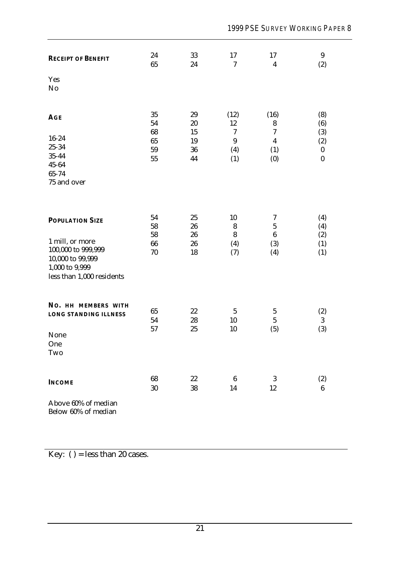| <b>RECEIPT OF BENEFIT</b>                  | 24<br>65       | 33<br>24       | 17<br>$\tau$                   | 17<br>$\boldsymbol{4}$        | 9<br>(2)          |
|--------------------------------------------|----------------|----------------|--------------------------------|-------------------------------|-------------------|
| Yes<br>No                                  |                |                |                                |                               |                   |
| <b>AGE</b>                                 | 35<br>54<br>68 | 29<br>20<br>15 | (12)<br>12<br>$\boldsymbol{7}$ | (16)<br>8<br>$\boldsymbol{7}$ | (8)<br>(6)<br>(3) |
| $16 - 24$                                  | 65             | 19             | $\boldsymbol{9}$               | $\overline{4}$                | (2)               |
| 25-34                                      | 59             | 36             | (4)                            | (1)                           | $\boldsymbol{0}$  |
| $35 - 44$<br>$45 - 64$                     | 55             | 44             | (1)                            | (0)                           | $\bf{0}$          |
| 65-74                                      |                |                |                                |                               |                   |
| 75 and over                                |                |                |                                |                               |                   |
|                                            |                |                |                                |                               |                   |
| <b>POPULATION SIZE</b>                     | 54<br>58       | 25<br>26       | 10<br>8                        | 7<br>$\overline{5}$           | (4)<br>(4)        |
|                                            | 58             | 26             | 8                              | $\boldsymbol{6}$              | (2)               |
| 1 mill, or more                            | 66             | 26             | (4)                            | (3)                           | (1)               |
| 100,000 to 999,999                         | 70             | 18             | (7)                            | (4)                           | (1)               |
| 10,000 to 99,999                           |                |                |                                |                               |                   |
| 1,000 to 9,999                             |                |                |                                |                               |                   |
| less than 1,000 residents                  |                |                |                                |                               |                   |
| NO. HH MEMBERS WITH                        |                |                |                                |                               |                   |
| <b>LONG STANDING ILLNESS</b>               | 65             | 22             | $\sqrt{5}$                     | $\mathbf 5$                   | (2)               |
|                                            | 54<br>57       | 28<br>25       | 10<br>10                       | $\mathbf 5$                   | $\boldsymbol{3}$  |
| None                                       |                |                |                                | (5)                           | (3)               |
| One                                        |                |                |                                |                               |                   |
| Two                                        |                |                |                                |                               |                   |
| <b>INCOME</b>                              | 68             | $22\,$         | $\boldsymbol{6}$               | 3                             | (2)               |
|                                            | 30             | 38             | 14                             | 12                            | $6\phantom{.}6$   |
| Above 60% of median<br>Below 60% of median |                |                |                                |                               |                   |

Key: ( ) = less than 20 cases.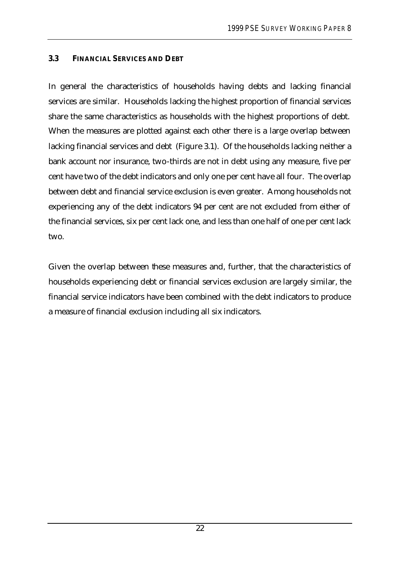### **3.3 FINANCIAL SERVICES AND DEBT**

In general the characteristics of households having debts and lacking financial services are similar. Households lacking the highest proportion of financial services share the same characteristics as households with the highest proportions of debt. When the measures are plotted against each other there is a large overlap between lacking financial services and debt (Figure 3.1). Of the households lacking neither a bank account nor insurance, two-thirds are not in debt using any measure, five per cent have two of the debt indicators and only one per cent have all four. The overlap between debt and financial service exclusion is even greater. Among households not experiencing any of the debt indicators 94 per cent are not excluded from either of the financial services, six per cent lack one, and less than one half of one per cent lack two.

Given the overlap between these measures and, further, that the characteristics of households experiencing debt or financial services exclusion are largely similar, the financial service indicators have been combined with the debt indicators to produce a measure of financial exclusion including all six indicators.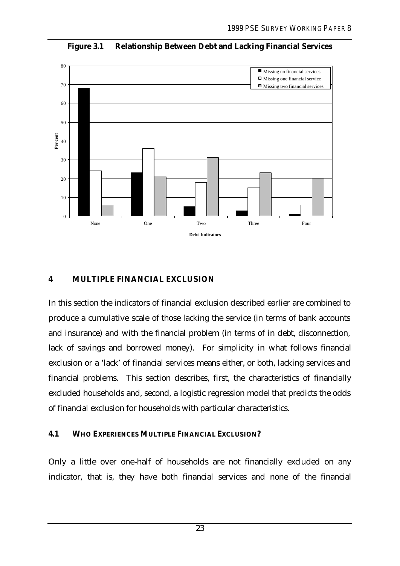

**Figure 3.1 Relationship Between Debt and Lacking Financial Services**

### **4 MULTIPLE FINANCIAL EXCLUSION**

In this section the indicators of financial exclusion described earlier are combined to produce a cumulative scale of those lacking the service (in terms of bank accounts and insurance) and with the financial problem (in terms of in debt, disconnection, lack of savings and borrowed money). For simplicity in what follows financial exclusion or a 'lack' of financial services means either, or both, lacking services and financial problems. This section describes, first, the characteristics of financially excluded households and, second, a logistic regression model that predicts the odds of financial exclusion for households with particular characteristics.

#### **4.1 WHO EXPERIENCES MULTIPLE FINANCIAL EXCLUSION?**

Only a little over one-half of households are not financially excluded on any indicator, that is, they have both financial services and none of the financial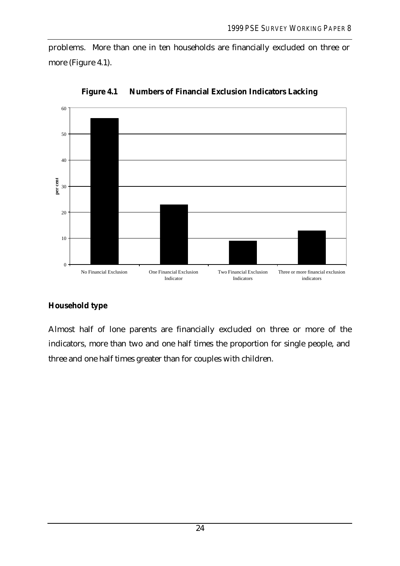problems. More than one in ten households are financially excluded on three or more (Figure 4.1).



**Figure 4.1 Numbers of Financial Exclusion Indicators Lacking**

## **Household type**

Almost half of lone parents are financially excluded on three or more of the indicators, more than two and one half times the proportion for single people, and three and one half times greater than for couples with children.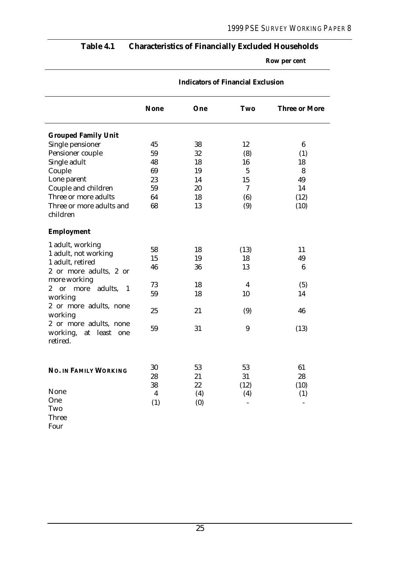## **Table 4.1 Characteristics of Financially Excluded Households**

**Row per cent**

|                                                                         | <b>None</b>      | One | <b>Two</b>              | <b>Three or More</b> |
|-------------------------------------------------------------------------|------------------|-----|-------------------------|----------------------|
| <b>Grouped Family Unit</b>                                              |                  |     |                         |                      |
| Single pensioner                                                        | 45               | 38  | 12                      | $6\phantom{.}6$      |
| Pensioner couple                                                        | 59               | 32  | (8)                     | (1)                  |
| Single adult                                                            | 48               | 18  | 16                      | 18                   |
| Couple                                                                  | 69               | 19  | $\overline{5}$          | 8                    |
| Lone parent                                                             | 23               | 14  | 15                      | 49                   |
| Couple and children                                                     | 59               | 20  | $\tau$                  | 14                   |
| Three or more adults                                                    | 64               | 18  | (6)                     | (12)                 |
| Three or more adults and<br>children                                    | 68               | 13  | (9)                     | (10)                 |
| <b>Employment</b>                                                       |                  |     |                         |                      |
| 1 adult, working                                                        |                  |     |                         |                      |
| 1 adult, not working                                                    | 58               | 18  | (13)                    | 11                   |
| 1 adult, retired                                                        | 15               | 19  | 18                      | 49                   |
| 2 or more adults, 2 or                                                  | 46               | 36  | 13                      | $6\phantom{.}6$      |
| more working                                                            |                  |     |                         |                      |
| adults,<br>$\mathbf{2}^{\prime}$<br>$\overline{\text{or}}$<br>more<br>1 | 73               | 18  | $\overline{\mathbf{4}}$ | (5)                  |
| working                                                                 | 59               | 18  | 10                      | 14                   |
| 2 or more adults, none<br>working                                       | 25               | 21  | (9)                     | 46                   |
| 2 or more adults, none<br>working,<br>at least<br>one<br>retired.       | 59               | 31  | 9                       | (13)                 |
|                                                                         | 30               | 53  | 53                      | 61                   |
| <b>NO. IN FAMILY WORKING</b>                                            | 28               | 21  | 31                      | 28                   |
|                                                                         | 38               | 22  | (12)                    | (10)                 |
| None                                                                    | $\boldsymbol{4}$ | (4) | (4)                     | (1)                  |
| One                                                                     | (1)              | (0) |                         | $\overline{a}$       |
| Two                                                                     |                  |     |                         |                      |
| Three                                                                   |                  |     |                         |                      |
| Four                                                                    |                  |     |                         |                      |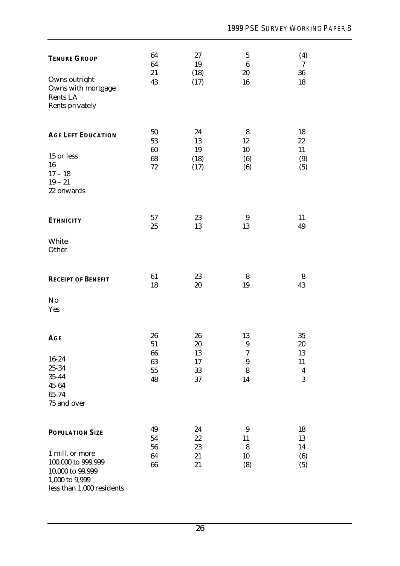| <b>TENURE GROUP</b>                                                                                      | 64<br>64                     | $27\,$<br>19         | $\bf 5$<br>$\bf 6$                     | (4)<br>$\tau$                     |
|----------------------------------------------------------------------------------------------------------|------------------------------|----------------------|----------------------------------------|-----------------------------------|
| Owns outright<br>Owns with mortgage<br>Rents LA<br>Rents privately                                       | 21<br>43                     | (18)<br>(17)         | 20<br>16                               | 36<br>18                          |
| <b>AGE LEFT EDUCATION</b>                                                                                | 50<br>53<br>60               | 24<br>13<br>19       | 8<br>12<br>10                          | 18<br>$22\,$<br>11                |
| 15 or less<br>16<br>$17 - 18$<br>$19 - 21$<br>22 onwards                                                 | 68<br>$72\,$                 | (18)<br>(17)         | (6)<br>(6)                             | (9)<br>(5)                        |
| <b>ETHNICITY</b>                                                                                         | 57<br>25                     | 23<br>13             | 9<br>13                                | 11<br>49                          |
| White<br>Other                                                                                           |                              |                      |                                        |                                   |
| <b>RECEIPT OF BENEFIT</b>                                                                                | 61<br>18                     | 23<br>$20\,$         | 8<br>19                                | 8<br>43                           |
| No<br>Yes                                                                                                |                              |                      |                                        |                                   |
| <b>AGE</b>                                                                                               | 26<br>51                     | 26<br>20             | 13<br>9                                | 35<br>20                          |
| 16-24<br>25-34<br>$35 - 44$<br>$45 - 64$<br>65-74                                                        | 66<br>63<br>${\bf 55}$<br>48 | 13<br>17<br>33<br>37 | 7<br>$\boldsymbol{9}$<br>$\bf 8$<br>14 | 13<br>11<br>$\boldsymbol{4}$<br>3 |
| 75 and over                                                                                              |                              |                      |                                        |                                   |
| <b>POPULATION SIZE</b>                                                                                   | 49<br>54<br>56               | 24<br>$22\,$<br>23   | 9<br>11<br>$\bf 8$                     | 18<br>13<br>14                    |
| 1 mill, or more<br>100,000 to 999,999<br>10,000 to 99,999<br>1,000 to 9,999<br>less than 1,000 residents | 64<br>66                     | 21<br>21             | 10<br>(8)                              | (6)<br>(5)                        |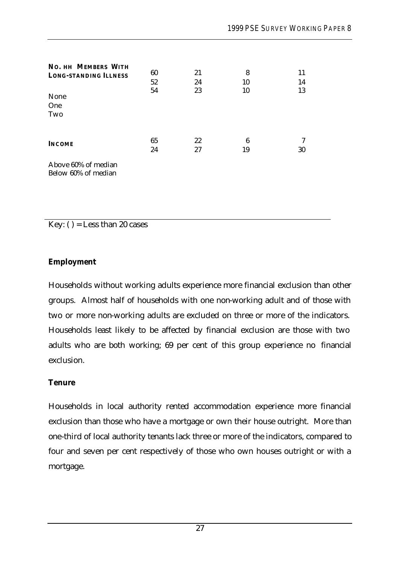| <b>NO. HH MEMBERS WITH</b><br><b>LONG-STANDING ILLNESS</b><br>None<br>One<br>Two | 60<br>52<br>54 | 21<br>24<br>23 | 8<br>10<br>10 | 11<br>14<br>13 |
|----------------------------------------------------------------------------------|----------------|----------------|---------------|----------------|
| <b>INCOME</b>                                                                    | 65<br>24       | 22<br>27       | 6<br>19       | 7<br>30        |
| Above 60% of median<br>Below 60% of median                                       |                |                |               |                |

Key: ( ) = Less than 20 cases

#### **Employment**

Households without working adults experience more financial exclusion than other groups. Almost half of households with one non-working adult and of those with two or more non-working adults are excluded on three or more of the indicators. Households least likely to be affected by financial exclusion are those with two adults who are both working; 69 per cent of this group experience no financial exclusion.

#### **Tenure**

Households in local authority rented accommodation experience more financial exclusion than those who have a mortgage or own their house outright. More than one-third of local authority tenants lack three or more of the indicators, compared to four and seven per cent respectively of those who own houses outright or with a mortgage.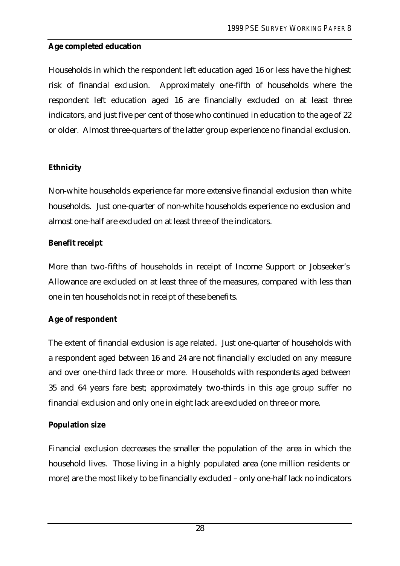# **Age completed education**

Households in which the respondent left education aged 16 or less have the highest risk of financial exclusion. Approximately one-fifth of households where the respondent left education aged 16 are financially excluded on at least three indicators, and just five per cent of those who continued in education to the age of 22 or older. Almost three-quarters of the latter group experience no financial exclusion.

# **Ethnicity**

Non-white households experience far more extensive financial exclusion than white households. Just one-quarter of non-white households experience no exclusion and almost one-half are excluded on at least three of the indicators.

# **Benefit receipt**

More than two-fifths of households in receipt of Income Support or Jobseeker's Allowance are excluded on at least three of the measures, compared with less than one in ten households not in receipt of these benefits.

# **Age of respondent**

The extent of financial exclusion is age related. Just one-quarter of households with a respondent aged between 16 and 24 are not financially excluded on any measure and over one-third lack three or more. Households with respondents aged between 35 and 64 years fare best; approximately two-thirds in this age group suffer no financial exclusion and only one in eight lack are excluded on three or more.

# **Population size**

Financial exclusion decreases the smaller the population of the area in which the household lives. Those living in a highly populated area (one million residents or more) are the most likely to be financially excluded – only one-half lack no indicators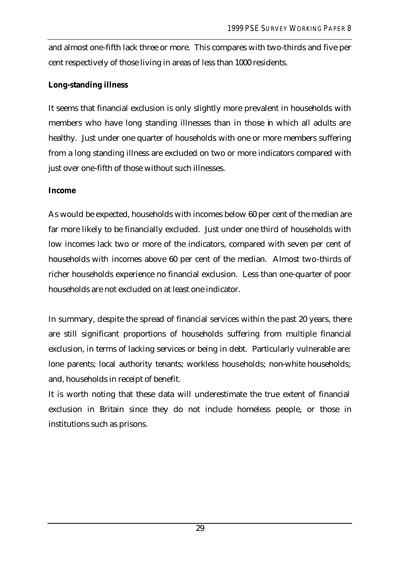and almost one-fifth lack three or more. This compares with two-thirds and five per cent respectively of those living in areas of less than 1000 residents.

### **Long-standing illness**

It seems that financial exclusion is only slightly more prevalent in households with members who have long standing illnesses than in those in which all adults are healthy. Just under one quarter of households with one or more members suffering from a long standing illness are excluded on two or more indicators compared with just over one-fifth of those without such illnesses.

### **Income**

As would be expected, households with incomes below 60 per cent of the median are far more likely to be financially excluded. Just under one third of households with low incomes lack two or more of the indicators, compared with seven per cent of households with incomes above 60 per cent of the median. Almost two-thirds of richer households experience no financial exclusion. Less than one-quarter of poor households are not excluded on at least one indicator.

In summary, despite the spread of financial services within the past 20 years, there are still significant proportions of households suffering from multiple financial exclusion, in terms of lacking services or being in debt. Particularly vulnerable are: lone parents; local authority tenants; workless households; non-white households; and, households in receipt of benefit.

It is worth noting that these data will underestimate the true extent of financial exclusion in Britain since they do not include homeless people, or those in institutions such as prisons.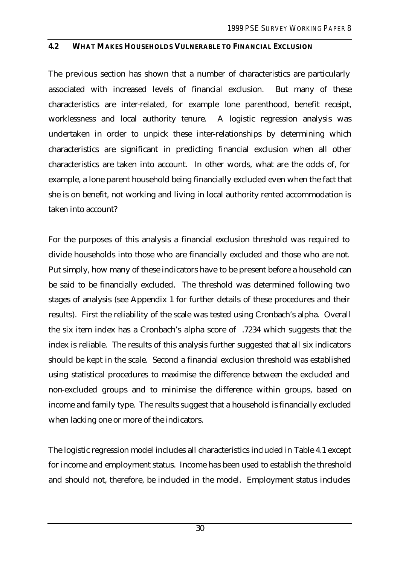#### **4.2 WHAT MAKES HOUSEHOLDS VULNERABLE TO FINANCIAL EXCLUSION**

The previous section has shown that a number of characteristics are particularly associated with increased levels of financial exclusion. But many of these characteristics are inter-related, for example lone parenthood, benefit receipt, worklessness and local authority tenure. A logistic regression analysis was undertaken in order to unpick these inter-relationships by determining which characteristics are significant in predicting financial exclusion when all other characteristics are taken into account. In other words, what are the odds of, for example, a lone parent household being financially excluded even when the fact that she is on benefit, not working and living in local authority rented accommodation is taken into account?

For the purposes of this analysis a financial exclusion threshold was required to divide households into those who are financially excluded and those who are not. Put simply, how many of these indicators have to be present before a household can be said to be financially excluded. The threshold was determined following two stages of analysis (see Appendix 1 for further details of these procedures and their results). First the reliability of the scale was tested using Cronbach's alpha. Overall the six item index has a Cronbach's alpha score of .7234 which suggests that the index is reliable. The results of this analysis further suggested that all six indicators should be kept in the scale. Second a financial exclusion threshold was established using statistical procedures to maximise the difference between the excluded and non-excluded groups and to minimise the difference within groups, based on income and family type. The results suggest that a household is financially excluded when lacking one or more of the indicators.

The logistic regression model includes all characteristics included in Table 4.1 except for income and employment status. Income has been used to establish the threshold and should not, therefore, be included in the model. Employment status includes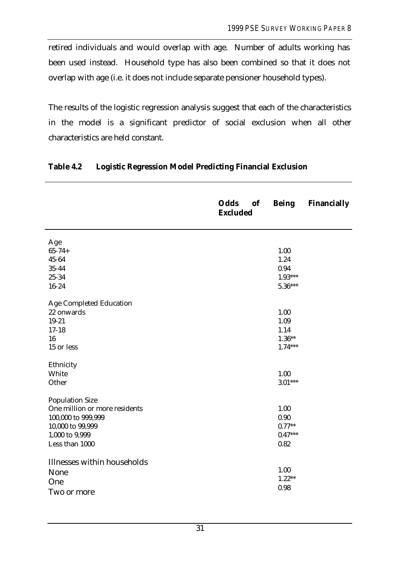retired individuals and would overlap with age. Number of adults working has been used instead. Household type has also been combined so that it does not overlap with age (i.e. it does not include separate pensioner household types).

The results of the logistic regression analysis suggest that each of the characteristics in the model is a significant predictor of social exclusion when all other characteristics are held constant.

|                               | <b>Odds</b><br>of<br><b>Excluded</b> | <b>Being</b> | <b>Financially</b> |
|-------------------------------|--------------------------------------|--------------|--------------------|
| Age                           |                                      |              |                    |
| $65 - 74 +$                   |                                      | 1.00         |                    |
| 45-64                         |                                      | 1.24         |                    |
| 35-44                         |                                      | 0.94         |                    |
| 25-34                         |                                      | $1.93***$    |                    |
| $16 - 24$                     |                                      | $5.36***$    |                    |
| Age Completed Education       |                                      |              |                    |
| 22 onwards                    |                                      | 1.00         |                    |
| $19 - 21$                     |                                      | 1.09         |                    |
| $17 - 18$                     |                                      | 1.14         |                    |
| 16                            |                                      | $1.36**$     |                    |
| 15 or less                    |                                      | $1.74***$    |                    |
| Ethnicity                     |                                      |              |                    |
| White                         |                                      | 1.00         |                    |
| Other                         |                                      | $3.01***$    |                    |
| <b>Population Size</b>        |                                      |              |                    |
| One million or more residents |                                      | 1.00         |                    |
| 100,000 to 999,999            |                                      | 0.90         |                    |
| 10,000 to 99,999              |                                      | $0.77**$     |                    |
| 1,000 to 9,999                |                                      | $0.47***$    |                    |
| Less than 1000                |                                      | 0.82         |                    |
| Illnesses within households   |                                      |              |                    |
| None                          |                                      | 1.00         |                    |
| One                           |                                      | $1.22**$     |                    |
| Two or more                   |                                      | 0.98         |                    |
|                               |                                      |              |                    |

### **Table 4.2 Logistic Regression Model Predicting Financial Exclusion**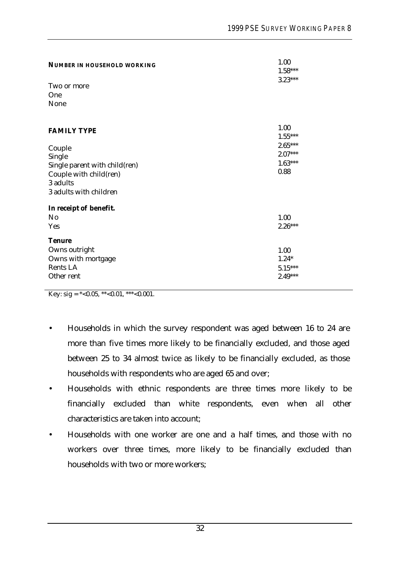| <b>NUMBER IN HOUSEHOLD WORKING</b><br>Two or more<br>One<br>None                                                                        | 1.00<br>$1.58***$<br>$3.23***$                                   |
|-----------------------------------------------------------------------------------------------------------------------------------------|------------------------------------------------------------------|
| <b>FAMILY TYPE</b><br>Couple<br>Single<br>Single parent with child(ren)<br>Couple with child(ren)<br>3 adults<br>3 adults with children | 1.00<br>$1.55***$<br>$2.65***$<br>$2.07***$<br>$1.63***$<br>0.88 |
| In receipt of benefit.<br>N <sub>0</sub><br>Yes<br><b>Tenure</b><br>Owns outright<br>Owns with mortgage<br>Rents LA<br>Other rent       | 1.00<br>$2.26***$<br>1.00<br>$1.24*$<br>$5.15***$<br>$2.49***$   |

Key: sig =  $*$  < 0.05, \*\* < 0.01, \*\*\* < 0.001.

- Households in which the survey respondent was aged between 16 to 24 are more than five times more likely to be financially excluded, and those aged between 25 to 34 almost twice as likely to be financially excluded, as those households with respondents who are aged 65 and over;
- Households with ethnic respondents are three times more likely to be financially excluded than white respondents, even when all other characteristics are taken into account;
- Households with one worker are one and a half times, and those with no workers over three times, more likely to be financially excluded than households with two or more workers;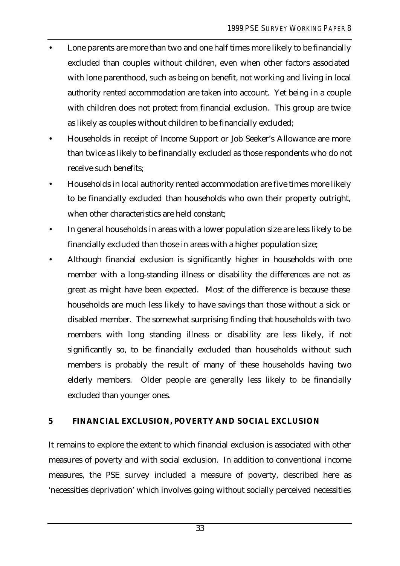- Lone parents are more than two and one half times more likely to be financially excluded than couples without children, even when other factors associated with lone parenthood, such as being on benefit, not working and living in local authority rented accommodation are taken into account. Yet being in a couple with children does not protect from financial exclusion. This group are twice as likely as couples without children to be financially excluded;
- Households in receipt of Income Support or Job Seeker's Allowance are more than twice as likely to be financially excluded as those respondents who do not receive such benefits;
- Households in local authority rented accommodation are five times more likely to be financially excluded than households who own their property outright, when other characteristics are held constant;
- In general households in areas with a lower population size are less likely to be financially excluded than those in areas with a higher population size;
- Although financial exclusion is significantly higher in households with one member with a long-standing illness or disability the differences are not as great as might have been expected. Most of the difference is because these households are much less likely to have savings than those without a sick or disabled member. The somewhat surprising finding that households with two members with long standing illness or disability are less likely, if not significantly so, to be financially excluded than households without such members is probably the result of many of these households having two elderly members. Older people are generally less likely to be financially excluded than younger ones.

### **5 FINANCIAL EXCLUSION, POVERTY AND SOCIAL EXCLUSION**

It remains to explore the extent to which financial exclusion is associated with other measures of poverty and with social exclusion. In addition to conventional income measures, the PSE survey included a measure of poverty, described here as 'necessities deprivation' which involves going without socially perceived necessities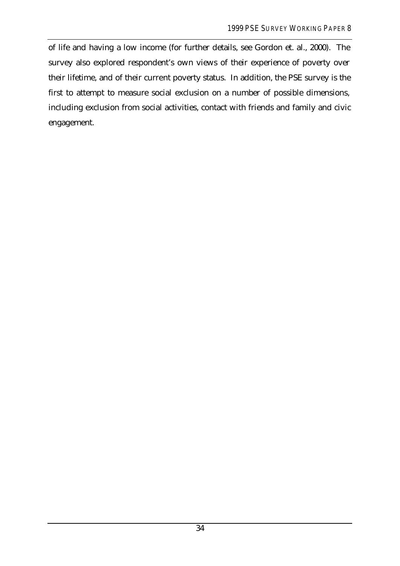of life and having a low income (for further details, see Gordon et. al., 2000). The survey also explored respondent's own views of their experience of poverty over their lifetime, and of their current poverty status. In addition, the PSE survey is the first to attempt to measure social exclusion on a number of possible dimensions, including exclusion from social activities, contact with friends and family and civic engagement.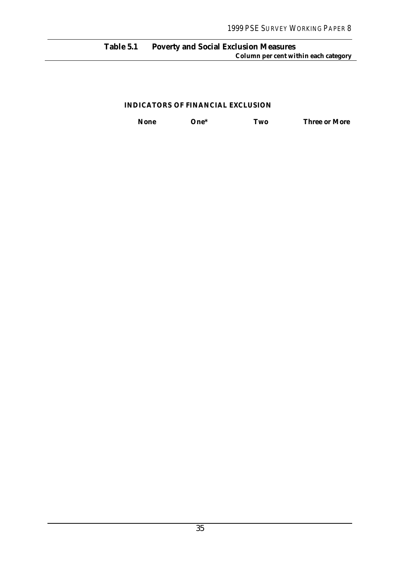#### **Table 5.1 Poverty and Social Exclusion Measures Column per cent within each category**

#### **INDICATORS OF FINANCIAL EXCLUSION**

**None One\* Two Three or More**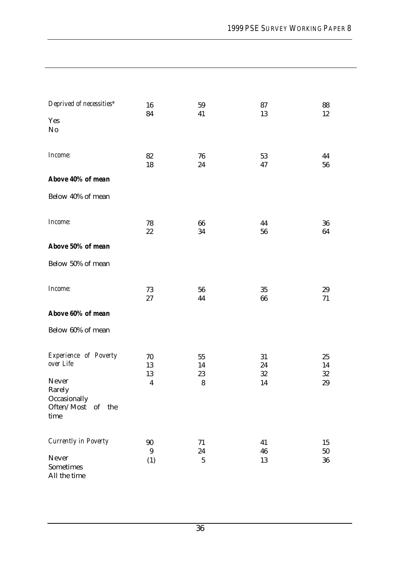| Deprived of necessities*    | 16<br>84                | 59<br>41  | 87<br>13   | 88<br>12   |
|-----------------------------|-------------------------|-----------|------------|------------|
| Yes                         |                         |           |            |            |
| No                          |                         |           |            |            |
|                             |                         |           |            |            |
| Income:                     | 82                      | 76        | 53         | 44         |
|                             | 18                      | 24        | 47         | 56         |
| Above 40% of mean           |                         |           |            |            |
| Below 40% of mean           |                         |           |            |            |
|                             |                         |           |            |            |
| Income:                     | 78                      | 66        | 44         | 36         |
|                             | $22\,$                  | 34        | 56         | 64         |
| Above 50% of mean           |                         |           |            |            |
| Below 50% of mean           |                         |           |            |            |
|                             |                         |           |            |            |
| Income:                     | 73                      | 56        | 35         | 29         |
|                             | $27\,$                  | 44        | 66         | 71         |
| Above 60% of mean           |                         |           |            |            |
| Below 60% of mean           |                         |           |            |            |
|                             |                         |           |            |            |
| Experience of Poverty       | $70\,$                  | 55        | 31         | 25         |
| over Life                   | 13                      | 14        | $\bf 24$   | 14         |
| Never                       | 13                      | 23        | $32\,$     | $32\,$     |
| Rarely                      | $\overline{\mathbf{4}}$ | ${\bf 8}$ | 14         | $29\,$     |
| Occasionally                |                         |           |            |            |
| Often/Most of the<br>time   |                         |           |            |            |
|                             |                         |           |            |            |
| <b>Currently in Poverty</b> | $90\,$                  | $71\,$    | 41         | 15         |
|                             | $9\phantom{.0}$         | $\bf 24$  | ${\bf 46}$ | ${\bf 50}$ |
| Never<br>Sometimes          | (1)                     | $\bf 5$   | 13         | 36         |
| All the time                |                         |           |            |            |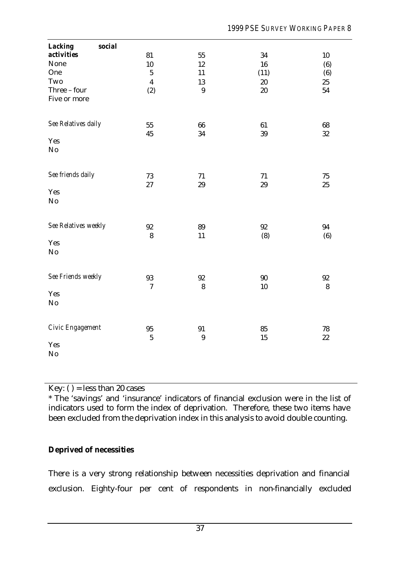| <b>Lacking</b><br>social |                         |                  |        |         |
|--------------------------|-------------------------|------------------|--------|---------|
| activities               | 81                      | 55               | 34     | $10\,$  |
| None                     | 10                      | 12               | 16     | (6)     |
| One                      | $\bf 5$                 | 11               | (11)   | (6)     |
| Two                      | $\overline{\mathbf{4}}$ | 13               | $20\,$ | 25      |
| Three - four             | (2)                     | 9                | $20\,$ | 54      |
| Five or more             |                         |                  |        |         |
| See Relatives daily      | 55                      | 66               | 61     | 68      |
|                          | 45                      | 34               | 39     | 32      |
| Yes<br>No                |                         |                  |        |         |
| See friends daily        | 73                      | 71               | 71     | $75\,$  |
|                          | 27                      | 29               | 29     | 25      |
| Yes<br>No                |                         |                  |        |         |
|                          |                         |                  |        |         |
| See Relatives weekly     | $92\,$                  | 89               | 92     | 94      |
|                          | ${\bf 8}$               | 11               | (8)    | (6)     |
| Yes                      |                         |                  |        |         |
| No                       |                         |                  |        |         |
| See Friends weekly       | 93                      | 92               | $90\,$ | $92\,$  |
|                          | $\tau$                  | 8                | 10     | $\bf 8$ |
| Yes<br>$\rm No$          |                         |                  |        |         |
|                          |                         |                  |        |         |
| Civic Engagement         | $95\,$                  | 91               | 85     | 78      |
|                          | $\bf 5$                 | $\boldsymbol{9}$ | 15     | $22\,$  |
| Yes                      |                         |                  |        |         |
| N <sub>o</sub>           |                         |                  |        |         |

Key: ( ) = less than 20 cases

\* The 'savings' and 'insurance' indicators of financial exclusion were in the list of indicators used to form the index of deprivation. Therefore, these two items have been excluded from the deprivation index in this analysis to avoid double counting.

## **Deprived of necessities**

There is a very strong relationship between necessities deprivation and financial exclusion. Eighty-four per cent of respondents in non-financially excluded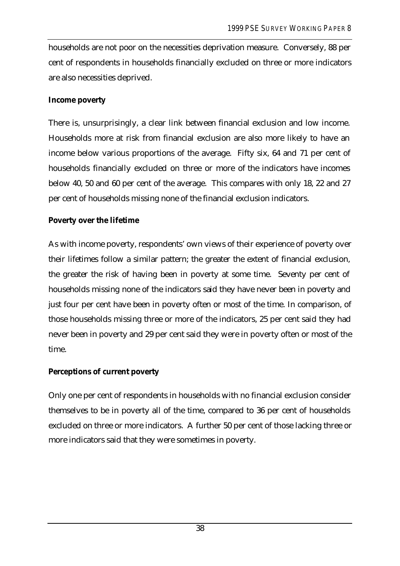households are not poor on the necessities deprivation measure. Conversely, 88 per cent of respondents in households financially excluded on three or more indicators are also necessities deprived.

### **Income poverty**

There is, unsurprisingly, a clear link between financial exclusion and low income. Households more at risk from financial exclusion are also more likely to have an income below various proportions of the average. Fifty six, 64 and 71 per cent of households financially excluded on three or more of the indicators have incomes below 40, 50 and 60 per cent of the average. This compares with only 18, 22 and 27 per cent of households missing none of the financial exclusion indicators.

### **Poverty over the lifetime**

As with income poverty, respondents' own views of their experience of poverty over their lifetimes follow a similar pattern; the greater the extent of financial exclusion, the greater the risk of having been in poverty at some time. Seventy per cent of households missing none of the indicators said they have never been in poverty and just four per cent have been in poverty often or most of the time. In comparison, of those households missing three or more of the indicators, 25 per cent said they had never been in poverty and 29 per cent said they were in poverty often or most of the time.

### **Perceptions of current poverty**

Only one per cent of respondents in households with no financial exclusion consider themselves to be in poverty all of the time, compared to 36 per cent of households excluded on three or more indicators. A further 50 per cent of those lacking three or more indicators said that they were sometimes in poverty.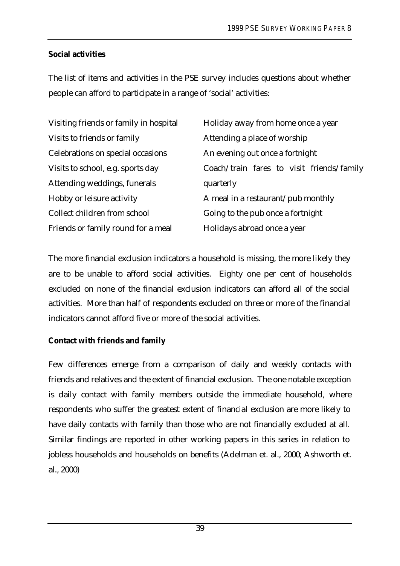## **Social activities**

The list of items and activities in the PSE survey includes questions about whether people can afford to participate in a range of 'social' activities:

| Visiting friends or family in hospital | Holiday away from home once a year        |
|----------------------------------------|-------------------------------------------|
| Visits to friends or family            | Attending a place of worship              |
| Celebrations on special occasions      | An evening out once a fortnight           |
| Visits to school, e.g. sports day      | Coach/train fares to visit friends/family |
| Attending weddings, funerals           | quarterly                                 |
| Hobby or leisure activity              | A meal in a restaurant/pub monthly        |
| Collect children from school           | Going to the pub once a fortnight         |
| Friends or family round for a meal     | Holidays abroad once a year               |

The more financial exclusion indicators a household is missing, the more likely they are to be unable to afford social activities. Eighty one per cent of households excluded on none of the financial exclusion indicators can afford all of the social activities. More than half of respondents excluded on three or more of the financial indicators cannot afford five or more of the social activities.

## **Contact with friends and family**

Few differences emerge from a comparison of daily and weekly contacts with friends and relatives and the extent of financial exclusion. The one notable exception is daily contact with family members outside the immediate household, where respondents who suffer the greatest extent of financial exclusion are more likely to have daily contacts with family than those who are not financially excluded at all. Similar findings are reported in other working papers in this series in relation to jobless households and households on benefits (Adelman et. al., 2000; Ashworth et. al., 2000)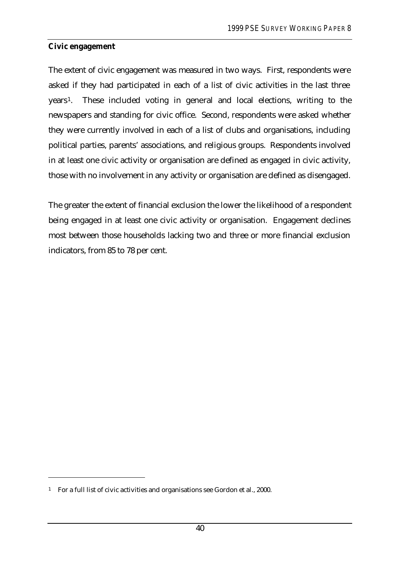### **Civic engagement**

The extent of civic engagement was measured in two ways. First, respondents were asked if they had participated in each of a list of civic activities in the last three years<sup>1</sup>. These included voting in general and local elections, writing to the newspapers and standing for civic office. Second, respondents were asked whether they were currently involved in each of a list of clubs and organisations, including political parties, parents' associations, and religious groups. Respondents involved in at least one civic activity or organisation are defined as engaged in civic activity, those with no involvement in any activity or organisation are defined as disengaged.

The greater the extent of financial exclusion the lower the likelihood of a respondent being engaged in at least one civic activity or organisation. Engagement declines most between those households lacking two and three or more financial exclusion indicators, from 85 to 78 per cent.

 $\overline{a}$ 

<sup>1</sup> For a full list of civic activities and organisations see Gordon et al., 2000.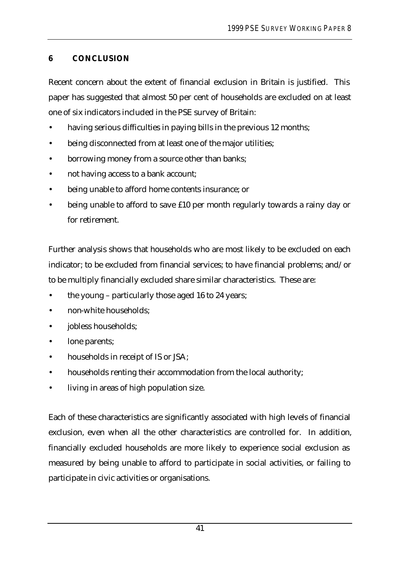# **6 CONCLUSION**

Recent concern about the extent of financial exclusion in Britain is justified. This paper has suggested that almost 50 per cent of households are excluded on at least one of six indicators included in the PSE survey of Britain:

- having serious difficulties in paying bills in the previous 12 months;
- being disconnected from at least one of the major utilities;
- borrowing money from a source other than banks;
- not having access to a bank account;
- being unable to afford home contents insurance; or
- being unable to afford to save £10 per month regularly towards a rainy day or for retirement.

Further analysis shows that households who are most likely to be excluded on each indicator; to be excluded from financial services; to have financial problems; and/or to be multiply financially excluded share similar characteristics. These are:

- the young particularly those aged 16 to 24 years;
- non-white households;
- jobless households;
- lone parents;
- households in receipt of IS or JSA;
- households renting their accommodation from the local authority;
- living in areas of high population size.

Each of these characteristics are significantly associated with high levels of financial exclusion, even when all the other characteristics are controlled for. In addition, financially excluded households are more likely to experience social exclusion as measured by being unable to afford to participate in social activities, or failing to participate in civic activities or organisations.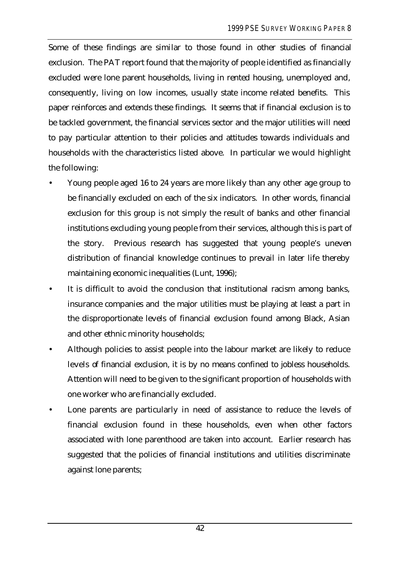Some of these findings are similar to those found in other studies of financial exclusion. The PAT report found that the majority of people identified as financially excluded were lone parent households, living in rented housing, unemployed and, consequently, living on low incomes, usually state income related benefits. This paper reinforces and extends these findings. It seems that if financial exclusion is to be tackled government, the financial services sector and the major utilities will need to pay particular attention to their policies and attitudes towards individuals and households with the characteristics listed above. In particular we would highlight the following:

- Young people aged 16 to 24 years are more likely than any other age group to be financially excluded on each of the six indicators. In other words, financial exclusion for this group is not simply the result of banks and other financial institutions excluding young people from their services, although this is part of the story. Previous research has suggested that young people's uneven distribution of financial knowledge continues to prevail in later life thereby maintaining economic inequalities (Lunt, 1996);
- It is difficult to avoid the conclusion that institutional racism among banks, insurance companies and the major utilities must be playing at least a part in the disproportionate levels of financial exclusion found among Black, Asian and other ethnic minority households;
- Although policies to assist people into the labour market are likely to reduce levels of financial exclusion, it is by no means confined to jobless households. Attention will need to be given to the significant proportion of households with one worker who are financially excluded.
- Lone parents are particularly in need of assistance to reduce the levels of financial exclusion found in these households, even when other factors associated with lone parenthood are taken into account. Earlier research has suggested that the policies of financial institutions and utilities discriminate against lone parents;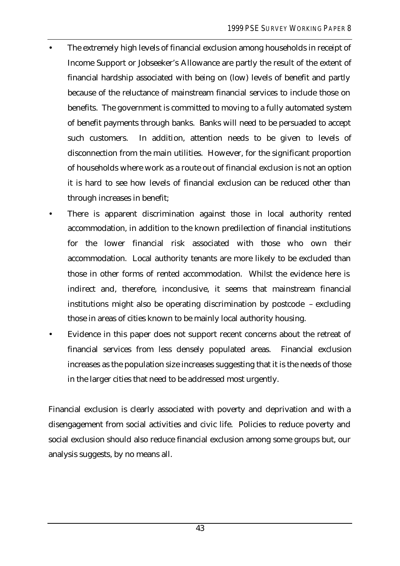- The extremely high levels of financial exclusion among households in receipt of Income Support or Jobseeker's Allowance are partly the result of the extent of financial hardship associated with being on (low) levels of benefit and partly because of the reluctance of mainstream financial services to include those on benefits. The government is committed to moving to a fully automated system of benefit payments through banks. Banks will need to be persuaded to accept such customers. In addition, attention needs to be given to levels of disconnection from the main utilities. However, for the significant proportion of households where work as a route out of financial exclusion is not an option it is hard to see how levels of financial exclusion can be reduced other than through increases in benefit;
- There is apparent discrimination against those in local authority rented accommodation, in addition to the known predilection of financial institutions for the lower financial risk associated with those who own their accommodation. Local authority tenants are more likely to be excluded than those in other forms of rented accommodation. Whilst the evidence here is indirect and, therefore, inconclusive, it seems that mainstream financial institutions might also be operating discrimination by postcode – excluding those in areas of cities known to be mainly local authority housing.
- Evidence in this paper does not support recent concerns about the retreat of financial services from less densely populated areas. Financial exclusion increases as the population size increases suggesting that it is the needs of those in the larger cities that need to be addressed most urgently.

Financial exclusion is clearly associated with poverty and deprivation and with a disengagement from social activities and civic life. Policies to reduce poverty and social exclusion should also reduce financial exclusion among some groups but, our analysis suggests, by no means all.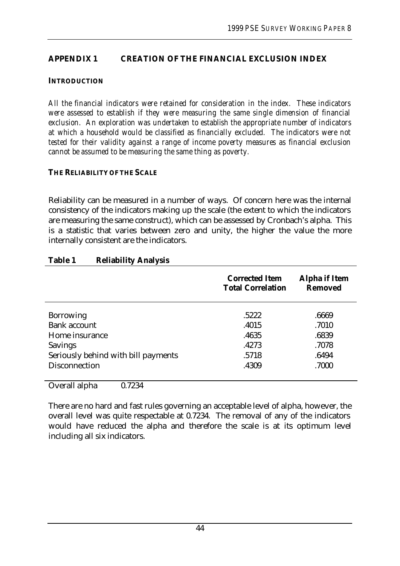### **APPENDIX 1 CREATION OF THE FINANCIAL EXCLUSION INDEX**

#### **INTRODUCTION**

*All the financial indicators were retained for consideration in the index. These indicators were assessed to establish if they were measuring the same single dimension of financial exclusion. An exploration was undertaken to establish the appropriate number of indicators at which a household would be classified as financially excluded. The indicators were not tested for their validity against a range of income poverty measures as financial exclusion cannot be assumed to be measuring the same thing as poverty.*

#### **THE RELIABILITY OF THE SCALE**

Reliability can be measured in a number of ways. Of concern here was the internal consistency of the indicators making up the scale (the extent to which the indicators are measuring the same construct), which can be assessed by Cronbach's alpha. This is a statistic that varies between zero and unity, the higher the value the more internally consistent are the indicators.

|                                     | <b>Corrected Item</b><br><b>Total Correlation</b> | <b>Alpha if Item</b><br><b>Removed</b> |
|-------------------------------------|---------------------------------------------------|----------------------------------------|
| <b>Borrowing</b>                    | .5222                                             | .6669                                  |
| <b>Bank account</b>                 | .4015                                             | .7010                                  |
| Home insurance                      | .4635                                             | .6839                                  |
| <b>Savings</b>                      | .4273                                             | .7078                                  |
| Seriously behind with bill payments | .5718                                             | .6494                                  |
| <b>Disconnection</b>                | .4309                                             | .7000                                  |

#### **Table 1 Reliability Analysis**

Overall alpha 0.7234

There are no hard and fast rules governing an acceptable level of alpha, however, the overall level was quite respectable at 0.7234. The removal of any of the indicators would have reduced the alpha and therefore the scale is at its optimum level including all six indicators.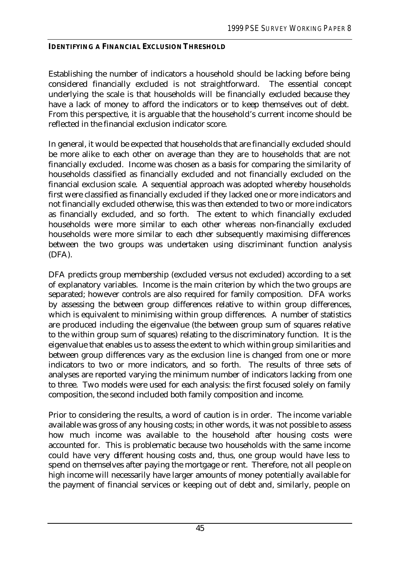### **IDENTIFYING A FINANCIAL EXCLUSION THRESHOLD**

Establishing the number of indicators a household should be lacking before being considered financially excluded is not straightforward. The essential concept underlying the scale is that households will be financially excluded because they have a lack of money to afford the indicators or to keep themselves out of debt. From this perspective, it is arguable that the household's current income should be reflected in the financial exclusion indicator score.

In general, it would be expected that households that are financially excluded should be more alike to each other on average than they are to households that are not financially excluded. Income was chosen as a basis for comparing the similarity of households classified as financially excluded and not financially excluded on the financial exclusion scale. A sequential approach was adopted whereby households first were classified as financially excluded if they lacked one or more indicators and not financially excluded otherwise, this was then extended to two or more indicators as financially excluded, and so forth. The extent to which financially excluded households were more similar to each other whereas non-financially excluded households were more similar to each other subsequently maximising differences between the two groups was undertaken using discriminant function analysis (DFA).

DFA predicts group membership (excluded versus not excluded) according to a set of explanatory variables. Income is the main criterion by which the two groups are separated; however controls are also required for family composition. DFA works by assessing the between group differences relative to within group differences, which is equivalent to minimising within group differences. A number of statistics are produced including the eigenvalue (the between group sum of squares relative to the within group sum of squares) relating to the discriminatory function. It is the eigenvalue that enables us to assess the extent to which within group similarities and between group differences vary as the exclusion line is changed from one or more indicators to two or more indicators, and so forth. The results of three sets of analyses are reported varying the minimum number of indicators lacking from one to three. Two models were used for each analysis: the first focused solely on family composition, the second included both family composition and income.

Prior to considering the results, a word of caution is in order. The income variable available was gross of any housing costs; in other words, it was not possible to assess how much income was available to the household after housing costs were accounted for. This is problematic because two households with the same income could have very different housing costs and, thus, one group would have less to spend on themselves after paying the mortgage or rent. Therefore, not all people on high income will necessarily have larger amounts of money potentially available for the payment of financial services or keeping out of debt and, similarly, people on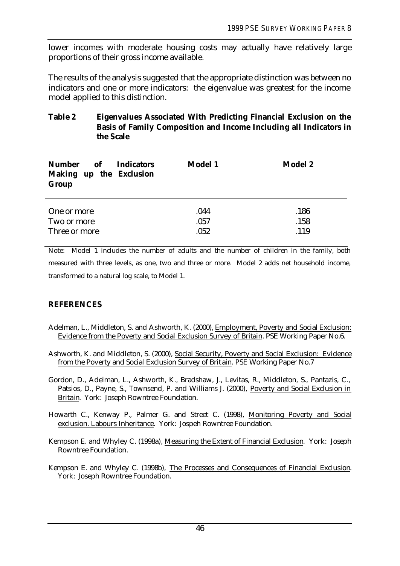lower incomes with moderate housing costs may actually have relatively large proportions of their gross income available.

The results of the analysis suggested that the appropriate distinction was between no indicators and one or more indicators: the eigenvalue was greatest for the income model applied to this distinction.

#### **Table 2 Eigenvalues Associated With Predicting Financial Exclusion on the Basis of Family Composition and Income Including all Indicators in the Scale**

| of<br><b>Number</b><br><b>Indicators</b><br>Making up the Exclusion<br>Group | <b>Model 1</b> | <b>Model 2</b> |
|------------------------------------------------------------------------------|----------------|----------------|
| One or more                                                                  | .044           | .186           |
| Two or more                                                                  | .057           | .158           |
| Three or more                                                                | .052           | .119           |

Note: Model 1 includes the number of adults and the number of children in the family, both measured with three levels, as one, two and three or more. Model 2 adds net household income, transformed to a natural log scale, to Model 1.

### **REFERENCES**

- Adelman, L., Middleton, S. and Ashworth, K. (2000), Employment, Poverty and Social Exclusion: Evidence from the Poverty and Social Exclusion Survey of Britain. PSE Working Paper No.6.
- Ashworth, K. and Middleton, S. (2000), Social Security, Poverty and Social Exclusion: Evidence from the Poverty and Social Exclusion Survey of Brit ain. PSE Working Paper No.7

Gordon, D., Adelman, L., Ashworth, K., Bradshaw, J., Levitas, R., Middleton, S., Pantazis, C., Patsios, D., Payne, S., Townsend, P. and Williams J. (2000), Poverty and Social Exclusion in Britain. York: Joseph Rowntree Foundation.

Howarth C., Kenway P., Palmer G. and Street C. (1998), Monitoring Poverty and Social exclusion. Labours Inheritance. York: Jospeh Rowntree Foundation.

Kempson E. and Whyley C. (1998a), Measuring the Extent of Financial Exclusion. York: Joseph Rowntree Foundation.

Kempson E. and Whyley C. (1998b), The Processes and Consequences of Financial Exclusion. York: Joseph Rowntree Foundation.